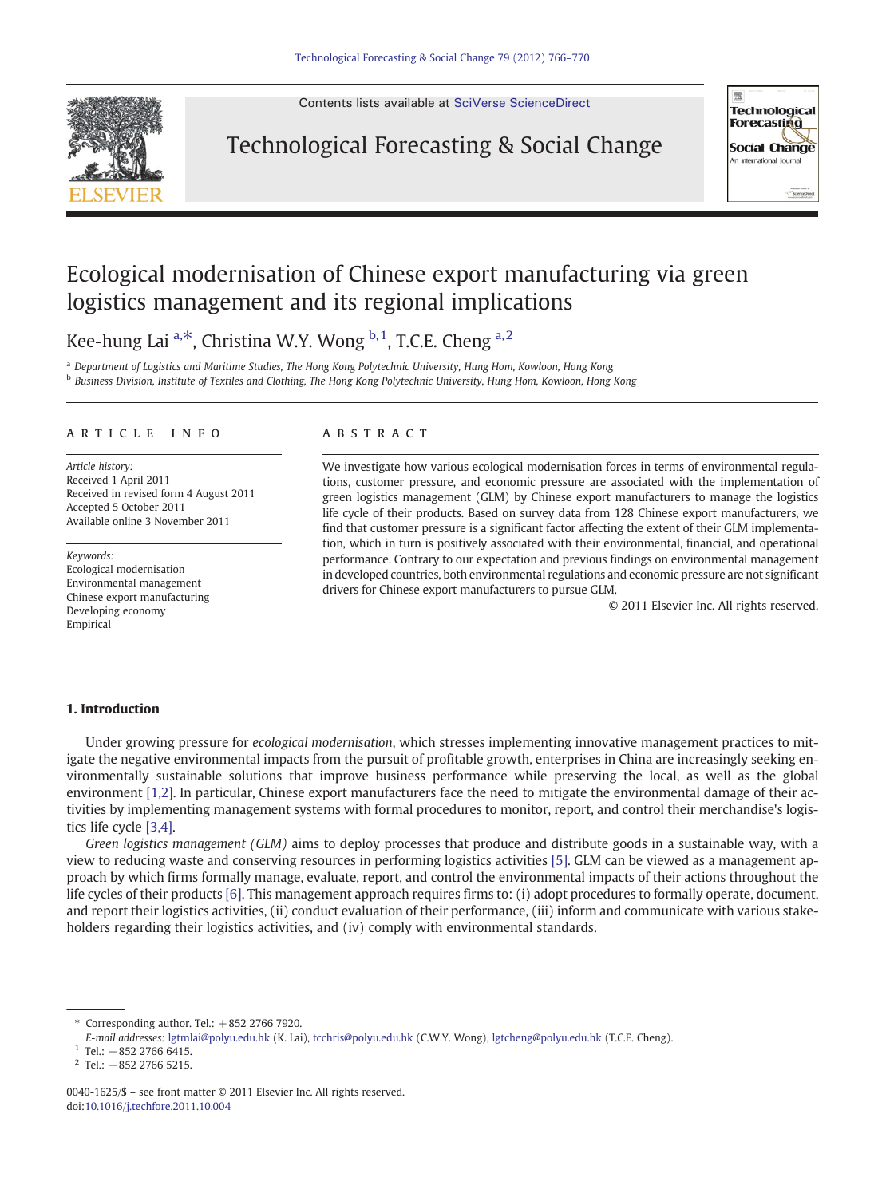

Contents lists available at [SciVerse ScienceDirect](http://www.sciencedirect.com/science/journal/00401625)

## Technological Forecasting & Social Change



## Ecological modernisation of Chinese export manufacturing via green logistics management and its regional implications

Kee-hung Lai<sup>a,\*</sup>, Christina W.Y. Wong  $b,1$ , T.C.E. Cheng  $a,2$ 

<sup>a</sup> Department of Logistics and Maritime Studies, The Hong Kong Polytechnic University, Hung Hom, Kowloon, Hong Kong <sup>b</sup> Business Division, Institute of Textiles and Clothing, The Hong Kong Polytechnic University, Hung Hom, Kowloon, Hong Kong

### article info abstract

Article history: Received 1 April 2011 Received in revised form 4 August 2011 Accepted 5 October 2011 Available online 3 November 2011

Keywords: Ecological modernisation Environmental management Chinese export manufacturing Developing economy Empirical

We investigate how various ecological modernisation forces in terms of environmental regulations, customer pressure, and economic pressure are associated with the implementation of green logistics management (GLM) by Chinese export manufacturers to manage the logistics life cycle of their products. Based on survey data from 128 Chinese export manufacturers, we find that customer pressure is a significant factor affecting the extent of their GLM implementation, which in turn is positively associated with their environmental, financial, and operational performance. Contrary to our expectation and previous findings on environmental management in developed countries, both environmental regulations and economic pressure are not significant drivers for Chinese export manufacturers to pursue GLM.

© 2011 Elsevier Inc. All rights reserved.

### 1. Introduction

Under growing pressure for ecological modernisation, which stresses implementing innovative management practices to mitigate the negative environmental impacts from the pursuit of profitable growth, enterprises in China are increasingly seeking environmentally sustainable solutions that improve business performance while preserving the local, as well as the global environment [\[1,2\]](#page--1-0). In particular, Chinese export manufacturers face the need to mitigate the environmental damage of their activities by implementing management systems with formal procedures to monitor, report, and control their merchandise's logistics life cycle [\[3,4\].](#page--1-0)

Green logistics management (GLM) aims to deploy processes that produce and distribute goods in a sustainable way, with a view to reducing waste and conserving resources in performing logistics activities [\[5\].](#page--1-0) GLM can be viewed as a management approach by which firms formally manage, evaluate, report, and control the environmental impacts of their actions throughout the life cycles of their products [\[6\].](#page--1-0) This management approach requires firms to: (i) adopt procedures to formally operate, document, and report their logistics activities, (ii) conduct evaluation of their performance, (iii) inform and communicate with various stakeholders regarding their logistics activities, and (iv) comply with environmental standards.

Corresponding author. Tel.:  $+852$  2766 7920.

E-mail addresses: [lgtmlai@polyu.edu.hk](mailto:lgtmlai@polyu.edu.hk) (K. Lai), [tcchris@polyu.edu.hk](mailto:tcchris@polyu.edu.hk) (C.W.Y. Wong), [lgtcheng@polyu.edu.hk](mailto:lgtcheng@polyu.edu.hk) (T.C.E. Cheng).

 $1$  Tel.:  $+852$  2766 6415.

 $2$  Tel.: +852 2766 5215.

<sup>0040-1625/\$</sup> – see front matter © 2011 Elsevier Inc. All rights reserved. doi:[10.1016/j.techfore.2011.10.004](http://dx.doi.org/10.1016/j.techfore.2011.10.004)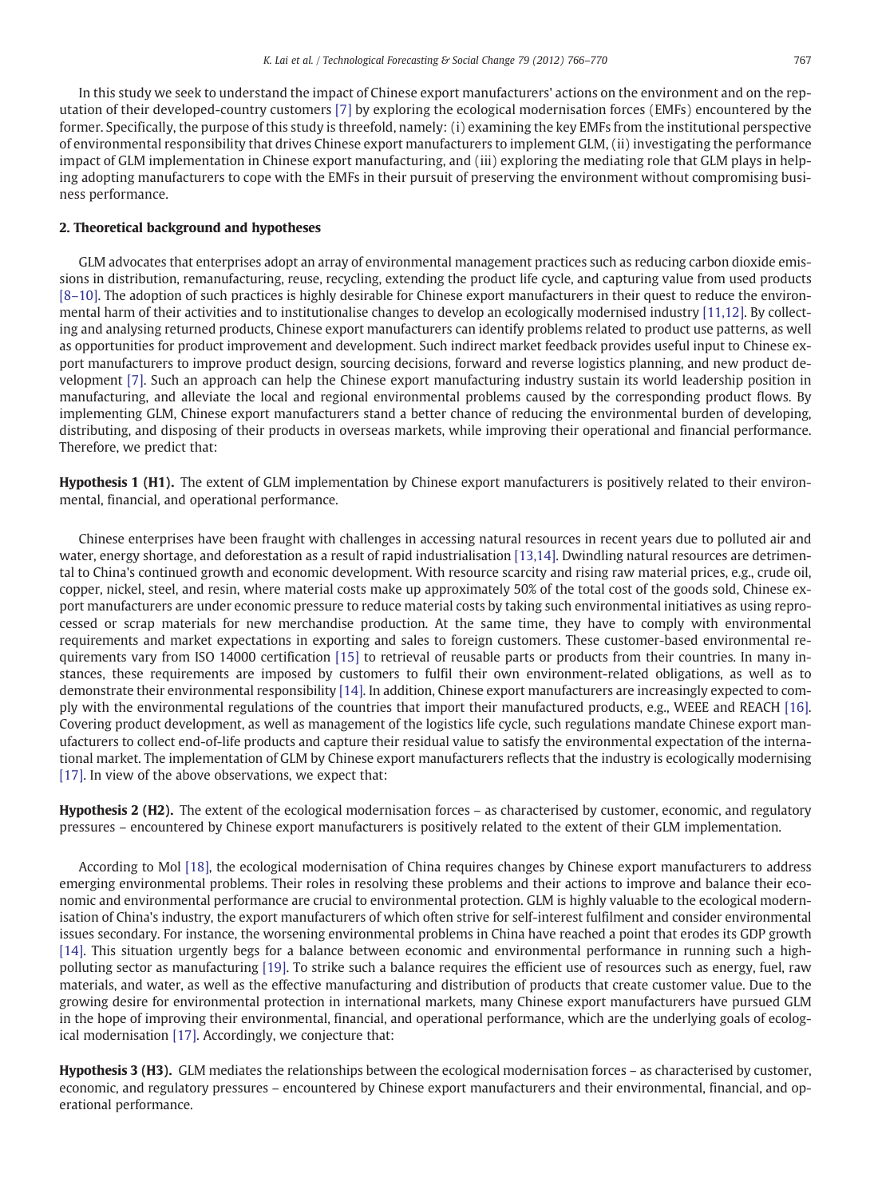In this study we seek to understand the impact of Chinese export manufacturers' actions on the environment and on the reputation of their developed-country customers [\[7\]](#page--1-0) by exploring the ecological modernisation forces (EMFs) encountered by the former. Specifically, the purpose of this study is threefold, namely: (i) examining the key EMFs from the institutional perspective of environmental responsibility that drives Chinese export manufacturers to implement GLM, (ii) investigating the performance impact of GLM implementation in Chinese export manufacturing, and (iii) exploring the mediating role that GLM plays in helping adopting manufacturers to cope with the EMFs in their pursuit of preserving the environment without compromising business performance.

### 2. Theoretical background and hypotheses

GLM advocates that enterprises adopt an array of environmental management practices such as reducing carbon dioxide emissions in distribution, remanufacturing, reuse, recycling, extending the product life cycle, and capturing value from used products [8–[10\].](#page--1-0) The adoption of such practices is highly desirable for Chinese export manufacturers in their quest to reduce the environmental harm of their activities and to institutionalise changes to develop an ecologically modernised industry [\[11,12\]](#page--1-0). By collecting and analysing returned products, Chinese export manufacturers can identify problems related to product use patterns, as well as opportunities for product improvement and development. Such indirect market feedback provides useful input to Chinese export manufacturers to improve product design, sourcing decisions, forward and reverse logistics planning, and new product development [\[7\].](#page--1-0) Such an approach can help the Chinese export manufacturing industry sustain its world leadership position in manufacturing, and alleviate the local and regional environmental problems caused by the corresponding product flows. By implementing GLM, Chinese export manufacturers stand a better chance of reducing the environmental burden of developing, distributing, and disposing of their products in overseas markets, while improving their operational and financial performance. Therefore, we predict that:

Hypothesis 1 (H1). The extent of GLM implementation by Chinese export manufacturers is positively related to their environmental, financial, and operational performance.

Chinese enterprises have been fraught with challenges in accessing natural resources in recent years due to polluted air and water, energy shortage, and deforestation as a result of rapid industrialisation [\[13,14\].](#page--1-0) Dwindling natural resources are detrimental to China's continued growth and economic development. With resource scarcity and rising raw material prices, e.g., crude oil, copper, nickel, steel, and resin, where material costs make up approximately 50% of the total cost of the goods sold, Chinese export manufacturers are under economic pressure to reduce material costs by taking such environmental initiatives as using reprocessed or scrap materials for new merchandise production. At the same time, they have to comply with environmental requirements and market expectations in exporting and sales to foreign customers. These customer-based environmental requirements vary from ISO 14000 certification [\[15\]](#page--1-0) to retrieval of reusable parts or products from their countries. In many instances, these requirements are imposed by customers to fulfil their own environment-related obligations, as well as to demonstrate their environmental responsibility [\[14\]](#page--1-0). In addition, Chinese export manufacturers are increasingly expected to comply with the environmental regulations of the countries that import their manufactured products, e.g., WEEE and REACH [\[16\]](#page--1-0). Covering product development, as well as management of the logistics life cycle, such regulations mandate Chinese export manufacturers to collect end-of-life products and capture their residual value to satisfy the environmental expectation of the international market. The implementation of GLM by Chinese export manufacturers reflects that the industry is ecologically modernising [\[17\].](#page--1-0) In view of the above observations, we expect that:

Hypothesis 2 (H2). The extent of the ecological modernisation forces – as characterised by customer, economic, and regulatory pressures – encountered by Chinese export manufacturers is positively related to the extent of their GLM implementation.

According to Mol [\[18\],](#page--1-0) the ecological modernisation of China requires changes by Chinese export manufacturers to address emerging environmental problems. Their roles in resolving these problems and their actions to improve and balance their economic and environmental performance are crucial to environmental protection. GLM is highly valuable to the ecological modernisation of China's industry, the export manufacturers of which often strive for self-interest fulfilment and consider environmental issues secondary. For instance, the worsening environmental problems in China have reached a point that erodes its GDP growth [\[14\].](#page--1-0) This situation urgently begs for a balance between economic and environmental performance in running such a highpolluting sector as manufacturing [\[19\]](#page--1-0). To strike such a balance requires the efficient use of resources such as energy, fuel, raw materials, and water, as well as the effective manufacturing and distribution of products that create customer value. Due to the growing desire for environmental protection in international markets, many Chinese export manufacturers have pursued GLM in the hope of improving their environmental, financial, and operational performance, which are the underlying goals of ecological modernisation [\[17\].](#page--1-0) Accordingly, we conjecture that:

Hypothesis 3 (H3). GLM mediates the relationships between the ecological modernisation forces – as characterised by customer, economic, and regulatory pressures – encountered by Chinese export manufacturers and their environmental, financial, and operational performance.